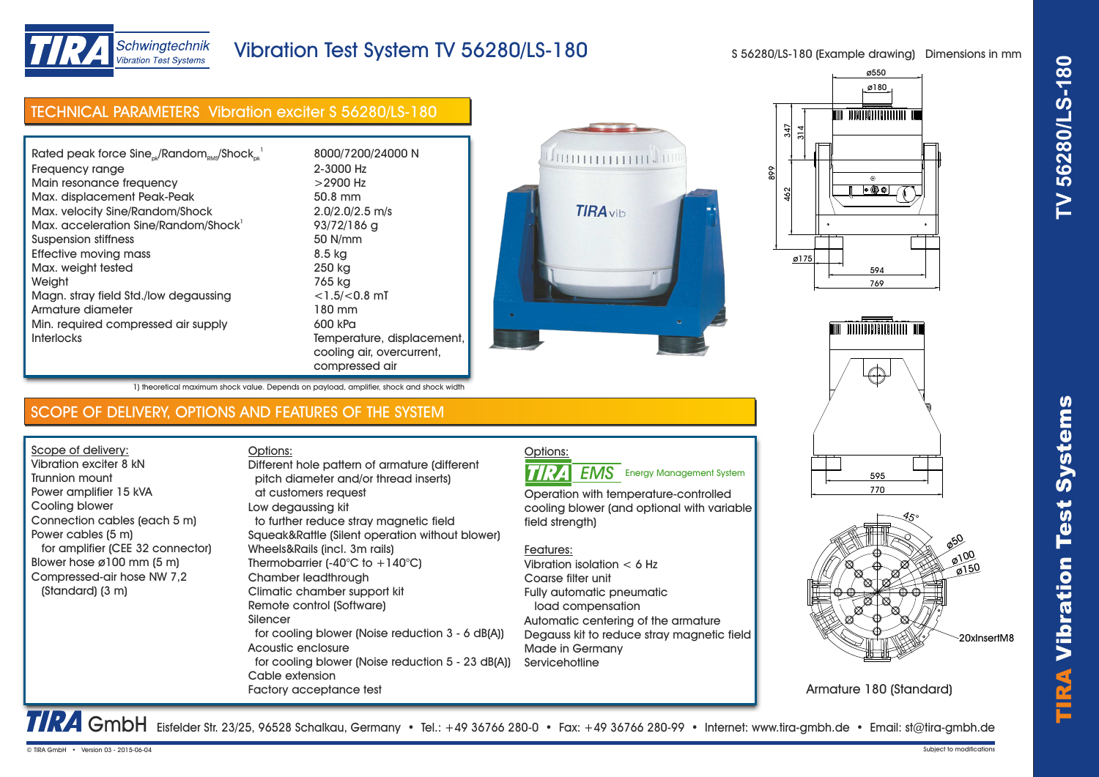



# Schwingtechnik **Vibration Test Systems**

# Vibration Test System TV 56280/LS-180

S 56280/LS-180 (Example drawing) Dimensions in mm

| <b>TECHNICAL PARAMETERS</b> Vibration exciter S 56280/LS-180 |                     |
|--------------------------------------------------------------|---------------------|
|                                                              |                     |
| Rated peak force $Sine_{ok}/Random_{RMS}/Shock_{ck}^{-1}$    | 8000/7200/24000 N   |
| Frequency range                                              | 2-3000 Hz           |
| Main resonance frequency                                     | $>$ 2900 Hz         |
| Max. displacement Peak-Peak                                  | 50.8 mm             |
| Max. velocity Sine/Random/Shock                              | $2.0/2.0/2.5$ m/s   |
| Max. acceleration Sine/Random/Shock                          | 93/72/186 g         |
| Suspension stiffness                                         | 50 N/mm             |
| <b>Effective moving mass</b>                                 | 8.5 kg              |
| Max. weight tested                                           | 250 kg              |
| Weight                                                       | 765 kg              |
| Magn. stray field Std./low degaussing                        | $<$ 1.5/ $<$ 0.8 mT |
| Armature diameter                                            | 180 mm              |
| Min. required compressed air supply                          | 600 kPa             |









Armature 180 (Standard)

1) theoretical maximum shock value. Depends on payload, amplifier, shock and shock width

## SCOPE OF DELIVERY, OPTIONS AND FEATURES OF THE SYSTEM

Interlocks Temperature, displacement,

Scope of delivery: Vibration exciter 8 kN Trunnion mount Power amplifier 15 kVA Cooling blower Connection cables (each 5 m) Power cables (5 m) for amplifier (CEE 32 connector) Blower hose ø100 mm (5 m) Compressed-air hose NW 7,2 (Standard) (3 m)

Options: pitch diameter and/or thread inserts) at customers request Low degaussing kit to further reduce stray magnetic field Squeak&Rattle (Silent operation without blower) Wheels&Rails (incl. 3m rails) Thermobarrier  $(-40^{\circ}C)$  to  $+140^{\circ}C$ ) Chamber leadthrough Climatic chamber support kit Remote control (Software) Silencer for cooling blower (Noise reduction 3 - 6 dB(A)) Acoustic enclosure for cooling blower (Noise reduction 5 - 23 dB(A)) Cable extension Factory acceptance test Different hole pattern of armature (different

cooling air, overcurrent,

compressed air

#### Options: **TIRA EMS** Energy Management System

Operation with temperature-controlled cooling blower (and optional with variable field strength)

## Features:

Vibration isolation < 6 Hz Coarse filter unit Fully automatic pneumatic load compensation Automatic centering of the armature Degauss kit to reduce stray magnetic field Made in Germany **Servicehotline** 

TRA GmbH Eisfelder Str. 23/25, 96528 Schalkau, Germany • Tel.: +49 36766 280-0 • Fax: +49 36766 280-99 • Internet: www.tira-gmbh.de • Email: st@tira-gmbh.de